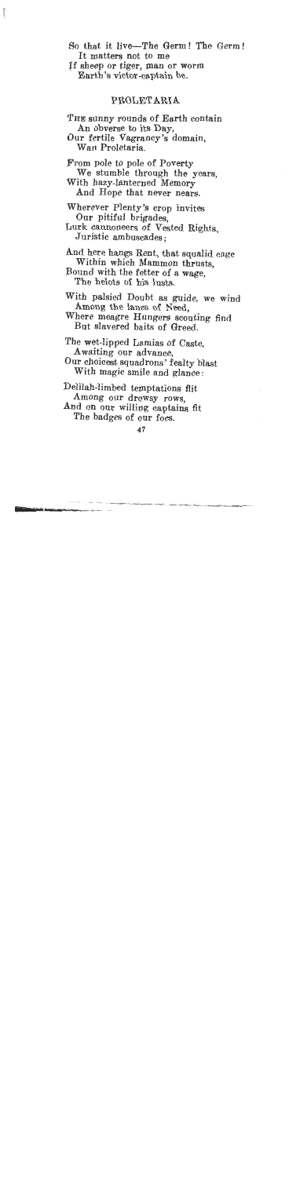$\mathbf{I}$  matters  $\mathbf{I}$  matters  $\mathbf{I}$ So that it live—The Germ! Th It matters not to me<br>If sheep or tiger, man or worm

Process captures to

## PROLETARIA

 $\overline{A}$  $\Gamma$ HE sunny rounds of Earth conta An obverse to its Day,<br>Our fertile Vagrancy's domain. Wan Proletaria  $\mathbf{v}$  studies the years, the years, the years, the years, the years, the years, the years, the years, the years, the years, the years, the years, the years, the years, the years, the years, the years, the years, the ye From pole to pole of Poverty We stumble through the years.<br>With hazy-lanterned Memory And Hope that never nears.  $\sum_{n=1}^{\infty}$ Wherever Plenty's crop invites Our pitiful brigades,<br>Lurk cannoneers of Vested Rights. Juristic ambuscades:  $W_1 = \sum_{i=1}^{n} w_i$ And here hangs Rent, that squalid Within which Mammon thrusts,<br>Bound with the fetter of a wage. The helots of his lusts.  $\mathcal{A}$  and  $\mathcal{A}$  and  $\mathcal{A}$  and  $\mathcal{A}$  and  $\mathcal{A}$ Vith palsied Doubt as guide, we wind Among the lanes of Need,<br>Where meagre Hungers scouting find But slavered baits of Greed.  $\mathbf{A}$  and  $\mathbf{A}$  are advanced on  $\mathbf{A}$ he wet-lipped Lamias of Caste, Awaiting our advance,<br>Our choicest squadrons' fealty blast With magic smile and glance:  $A \cup B$  our drows  $A \cup B$ 

elilah-limbed temptations flit Among our drowsy rows.

And on our willing captains fit<br>The badges of our foes.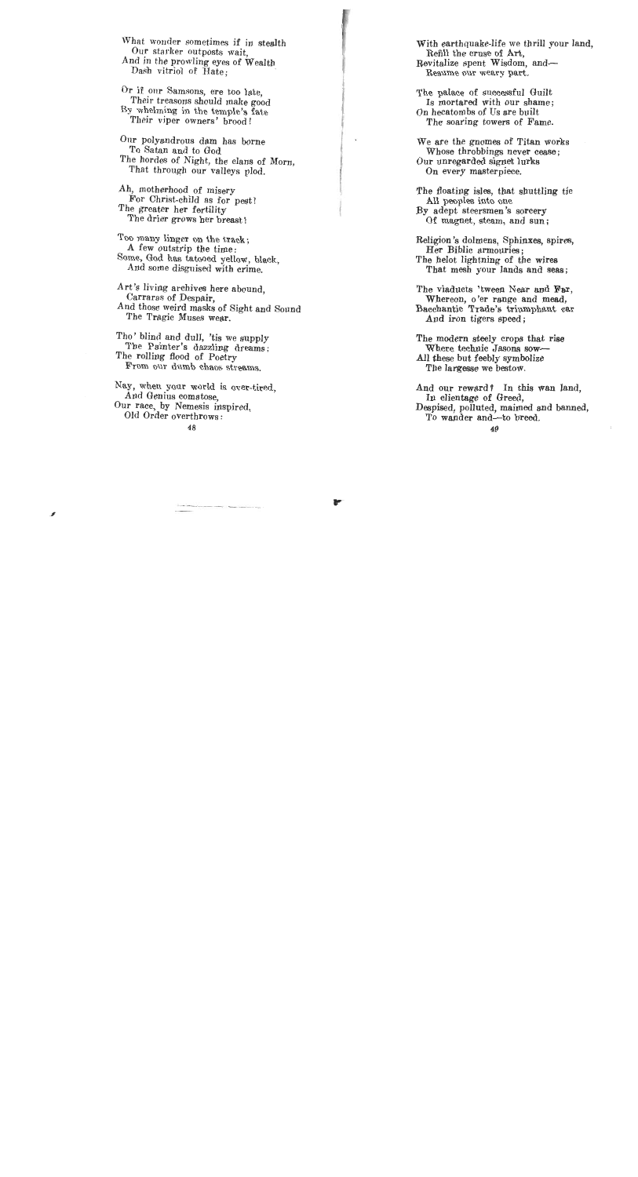What wonder sometimes if in stealth Our starker outposts wait, And in the prowling eyes of Wealth Dash vitriol of Hate.

Or if our Samsons, ere too late, Their treasons should make good By whelming in the temple's fate Their viper owners' brood!

Onr polyandrous dam has borne To Satan and to God The hordes of Night, the clans of Morn, That through our valleys plod.

Ah, motherhood of misery For Christ-child as for peat! The greater her fertility The drier grows her breast !

Too many linger on the track; A few outstrip the time: Some, God has tatooed yellow, black, And some disguised with crime.

Art's living archives here abound, Carraras of Despair, And those weird masks of Sight and Sound The Tragic Muses wear.

Tho' blind and dull, 'tis we supply The Painter's dazzling dreams; The rolling flood of Poetry From our dumb chaos streams.

Nay, when your world is over-tired, And Genius comatose, Our race, by Nemesis inspired, Old Order overthrows :

With earthquake-life we thrill your land, Refill the cruse of Art, Revitalize spent Wisdom, and-Resume our weary part.

The palace of successful Guilt Is mortared with our shame; On hecatombs of Us are built The soaring towers of Fame.

 $\mathcal{L}$ 

We are the gnomea of Titan works Whose throbbings never cease ; Our unregarded signet lurks On every masterpiece.

The floating isles, that shuttling tie All peoples into one By adept steersmen's sorcery Of magnet, steam, and sun;

Religion 's dolmens, Sphinxes, spires, Her Biblic armouries; The helot lightning of the wires That mesh your lands and **seas;** 

The viaducts 'tween Near and Far, Whereon, o'er range and mead, Bacchantic Trade's triumphant car And iron tigers speed;

The modern steely crops that rise Where technic Jasons **sow-**All these but feebly symbolize The largesse we bestow.

And our reward? In this wan land, In clientage of Greed. Despised, polluted, maimed and banned, To wander and-to breed.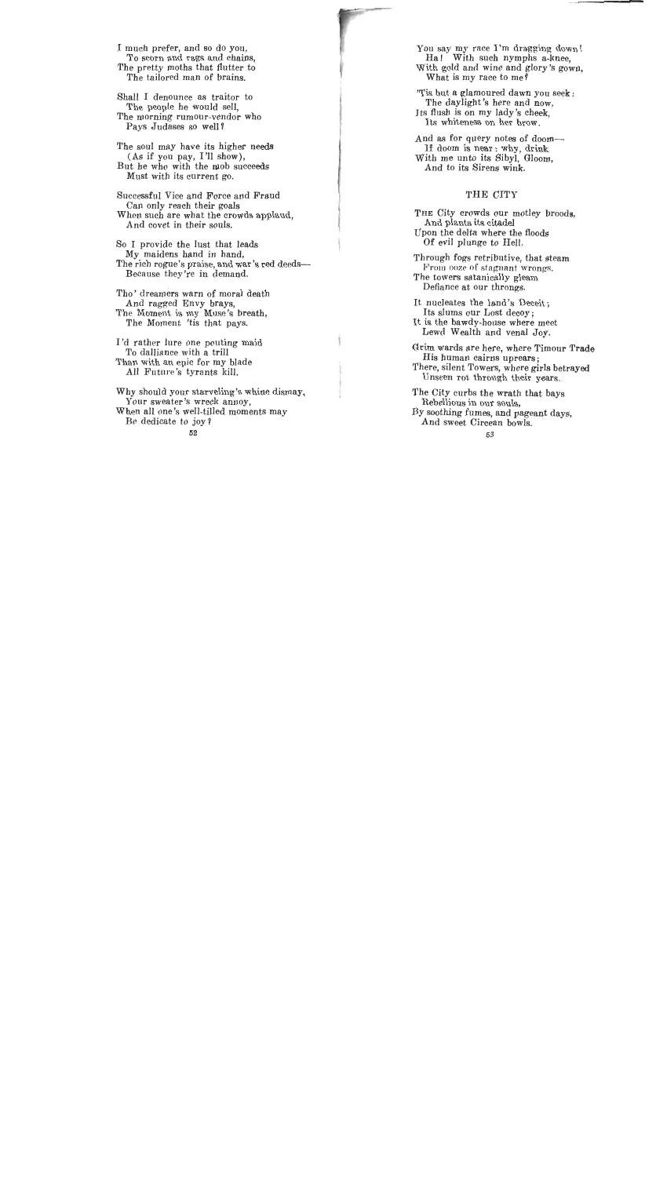**T** much prefer, and so do you, nuch prefer, and so do you,<br>To scorn and nags and chains, The pretty moths that flutter to The pretty moths that flutter to<br>The tailored man of brains.

Shall I denounce as traitor to The people he would sell, The people he would sell,<br>The morning rumour-vendor who e morning rumour-vend<br>Pays Judases so well?

The soul may have its higher needs (As if you pay, I'll show),  $(B_{\text{tot}})$  he who with the mob succeeds  $\mathbf{M}_{\text{total}}$  with the moons.

Successful Vice and Force and Fraud ccessiul vice and Force and<br>New orleans their goals Uan only reach their goals<br>When such are what the crowds applaud, den such are what the cro<br>And covet in their souls.

So I provide the lust that leads I provide the lust that lead The rich rogue's praise, and war's **red** deedse rich rogue s praise, and war<br>Because they're in demand.

Tho' dreamers warn of moral death o dreamers warn of mora.<br>And regard Envy brazz And ragged Envy brays,<br>Rhe Moment is my Muse's breeth, e wioment is my wiuse's brea<br>Ble Memori lie that pays.

I'd rather lure one pouting maid rather lure one pouting<br>Le dalliance with a trill To daillance with a trill<br>Than with an epic for my blade an with an epic for my black<br>bill. Fluture's tyrants kill.

Why should your starveling's whine dismay, y should your starveling s wh Your sweater's wreck annoy, en all one's well-tille Be dedicate to joy?<br>52

You say my race I'm dragging down! vu say my race I'm dragging down Ha! With such nymphs a-knee. With gold and wine and glory's gown,<br>What is my race to me?  $\frac{1}{2}$  what is my race to me?

is but a glamoured dawn you s The daylight's here and now. Its flush is on my lady's cheek,<br>Its whiteness on her brow. And **as** for query notes of doom-

id as for query notes of doom If doom is near: why, drink With me unto its Sibyl, Gloom,<br>And to its Sirens wink.

THE City crowds our motley broods, And plants its citadel Upon the delta where the floods<br>Of evil plunge to Hell.  $\sigma$  on pange to from.

rough fogs retributive, that stea From ooze of stagnant wrongs. The towers satanically gleam<br>Defiance at our throngs. It charges the car of the caps.

nucleates the land's Dece Its slums our Lost decov: It is the bawdy-house where meet Lewd Wealth and venal Joy.

Grim wards are here, where Timour Trade His human cairns uprears; There, silent Towers, where girls betrayed Unseen rot through their years.

The City curbs the wrath that bays Rebellious in our souls, By soothing fumes, and pageant days. And sweet Circean bowls.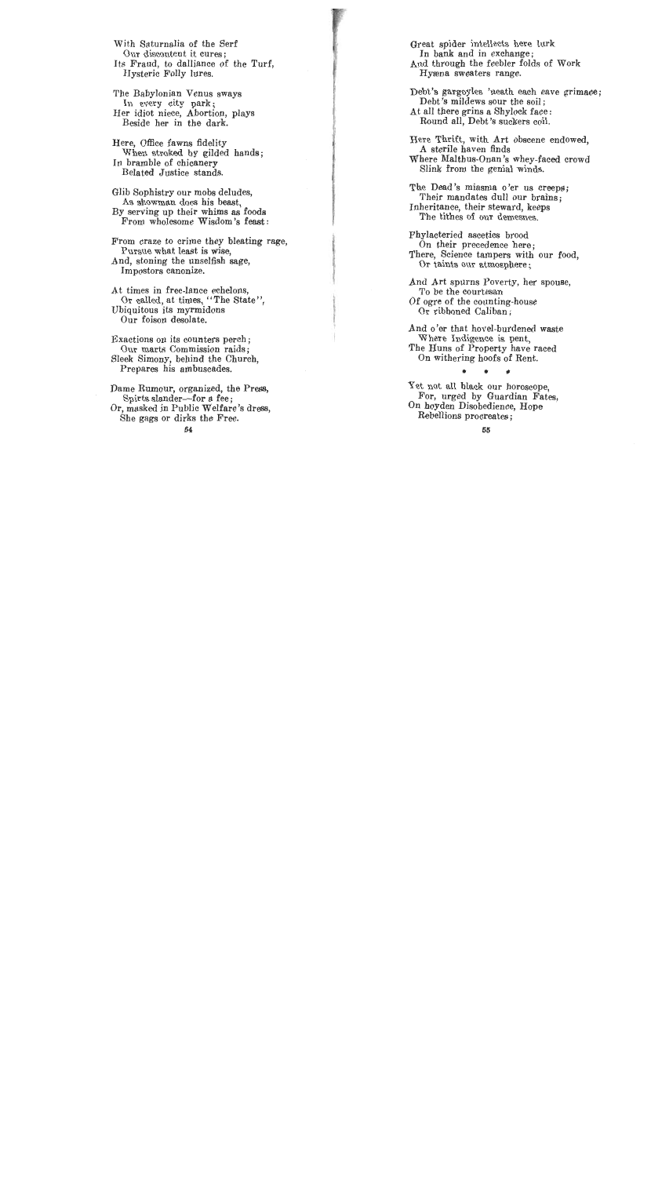With Saturnalia of the Serf Our discontent it cures; Its Fraud, to dalliance of the Turf, Hysteric Folly lures.

The Babylonian Venus sways In every city park; Her idiot niece, Abortion, plays Beside her in the dark.

Here, Office fawns fidelity When stroked by gilded hands; In bramble of chicanery Belated Justice stands.

Glib Sophistry our mobs deludes, As showman does his beast, By serving up their whims as foods From wholesome Wisdom's feast:

From craze to crime they bleating rage, Pursue what least is wise, And, stoning the unselfish sage, Impostors canonize.

At times in free-lance echelons, Or called, at times, "The State", Ubiquitous its myrmidons Our foison desolate.

Exactions on its counters perch ; Our marts Commission raids; Sleek Simony, behind the Church, Prepares his ambuscades.

Dame Rumour, organized, the Press, Spirts slander-for a fee: Or, masked in Public Welfare's dress, She gags or dirks the Free.

Qreat spider intellects here lurk In bank and in exchange; And through the feebler folds of Work Hyeena sweaters range.

Debt's gargoyles 'neath each eave grimace; Debt's mildews sour the soil: At all there grins a Shylock face : Round all, Debt's suckers coil.

Here Thrift, with Art obscene endowed, A sterile haven finds Where Malthus-Onan's whey-faced crowd Slink from the genial winds.

The Dead's miasma o'er us creeps; Their mandates dull our brains; Inheritance, their steward, keeps The tithes of our demesnes.

Phylacteried ascetics brood On their precedence here; There, Science tampers with our food, Or taints our atmosphere;

And Art spurns Poverty, her spouse, To be the courtesan Of ogre of the counting-house Or ribboned Caliban ;

And o'er that hovel-burdened waste Where Indigence is pent, The Huns of Property have raced On withering hoofs of Rent.

Yet not all black our horoscope, For, urged by Guardian Fates, On hoyden Disobedience, Hope Rebellions procreates ;